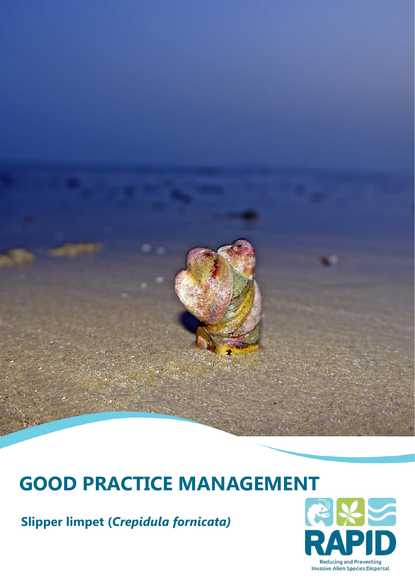# **GOOD PRACTICE MANAGEMENT**

**Slipper limpet (***Crepidula fornicata)*

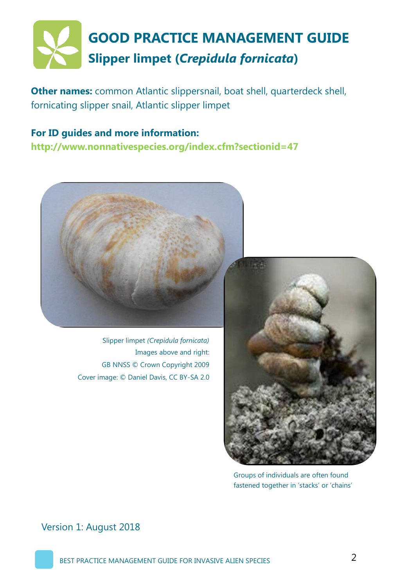

**Other names:** common Atlantic slippersnail, boat shell, quarterdeck shell, fornicating slipper snail, Atlantic slipper limpet

**For ID guides and more information: http://www.nonnativespecies.org/index.cfm?sectionid=47**



Slipper limpet *(Crepidula fornicata)* Images above and right: GB NNSS © Crown Copyright 2009 Cover image: © Daniel Davis, CC BY-SA 2.0



Groups of individuals are often found fastened together in 'stacks' or 'chains'

Version 1: August 2018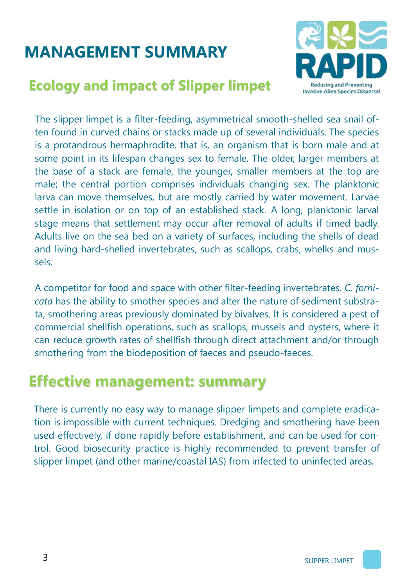# **MANAGEMENT SUMMARY**

### **Ecology and impact of Slipper limpet**



The slipper limpet is a filter-feeding, asymmetrical smooth-shelled sea snail often found in curved chains or stacks made up of several individuals. The species is a protandrous hermaphrodite, that is, an organism that is born male and at some point in its lifespan changes sex to female. The older, larger members at the base of a stack are female, the younger, smaller members at the top are male; the central portion comprises individuals changing sex. The planktonic larva can move themselves, but are mostly carried by water movement. Larvae settle in isolation or on top of an established stack. A long, planktonic larval stage means that settlement may occur after removal of adults if timed badly. Adults live on the sea bed on a variety of surfaces, including the shells of dead and living hard-shelled invertebrates, such as scallops, crabs, whelks and mussels.

A competitor for food and space with other filter-feeding invertebrates. *C. fornicata* has the ability to smother species and alter the nature of sediment substrata, smothering areas previously dominated by bivalves. It is considered a pest of commercial shellfish operations, such as scallops, mussels and oysters, where it can reduce growth rates of shellfish through direct attachment and/or through smothering from the biodeposition of faeces and pseudo-faeces.

### **Effective management: summary**

There is currently no easy way to manage slipper limpets and complete eradication is impossible with current techniques. Dredging and smothering have been used effectively, if done rapidly before establishment, and can be used for control. Good biosecurity practice is highly recommended to prevent transfer of slipper limpet (and other marine/coastal IAS) from infected to uninfected areas.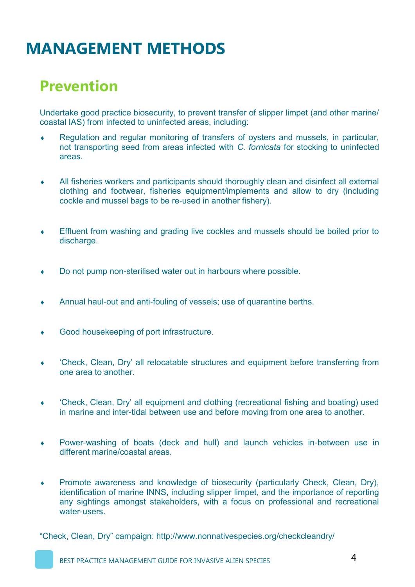### **Prevention**

Undertake good practice biosecurity, to prevent transfer of slipper limpet (and other marine/ coastal IAS) from infected to uninfected areas, including:

- Regulation and regular monitoring of transfers of oysters and mussels, in particular, not transporting seed from areas infected with *C. fornicata* for stocking to uninfected areas.
- All fisheries workers and participants should thoroughly clean and disinfect all external clothing and footwear, fisheries equipment/implements and allow to dry (including cockle and mussel bags to be re-used in another fishery).
- Effluent from washing and grading live cockles and mussels should be boiled prior to discharge.
- Do not pump non-sterilised water out in harbours where possible.
- Annual haul-out and anti-fouling of vessels; use of quarantine berths.
- Good housekeeping of port infrastructure.
- 'Check, Clean, Dry' all relocatable structures and equipment before transferring from one area to another.
- 'Check, Clean, Dry' all equipment and clothing (recreational fishing and boating) used in marine and inter-tidal between use and before moving from one area to another.
- Power-washing of boats (deck and hull) and launch vehicles in-between use in different marine/coastal areas.
- Promote awareness and knowledge of biosecurity (particularly Check, Clean, Dry), identification of marine INNS, including slipper limpet, and the importance of reporting any sightings amongst stakeholders, with a focus on professional and recreational water-users.

"Check, Clean, Dry" campaign: http://www.nonnativespecies.org/checkcleandry/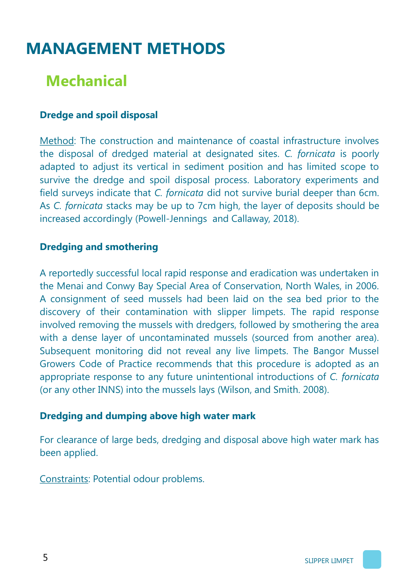# **Mechanical**

#### **Dredge and spoil disposal**

Method: The construction and maintenance of coastal infrastructure involves the disposal of dredged material at designated sites. *C. fornicata* is poorly adapted to adjust its vertical in sediment position and has limited scope to survive the dredge and spoil disposal process. Laboratory experiments and field surveys indicate that *C. fornicata* did not survive burial deeper than 6cm. As *C. fornicata* stacks may be up to 7cm high, the layer of deposits should be increased accordingly (Powell-Jennings and Callaway, 2018).

#### **Dredging and smothering**

A reportedly successful local rapid response and eradication was undertaken in the Menai and Conwy Bay Special Area of Conservation, North Wales, in 2006. A consignment of seed mussels had been laid on the sea bed prior to the discovery of their contamination with slipper limpets. The rapid response involved removing the mussels with dredgers, followed by smothering the area with a dense layer of uncontaminated mussels (sourced from another area). Subsequent monitoring did not reveal any live limpets. The Bangor Mussel Growers Code of Practice recommends that this procedure is adopted as an appropriate response to any future unintentional introductions of *C. fornicata* (or any other INNS) into the mussels lays (Wilson, and Smith. 2008).

#### **Dredging and dumping above high water mark**

For clearance of large beds, dredging and disposal above high water mark has been applied.

Constraints: Potential odour problems.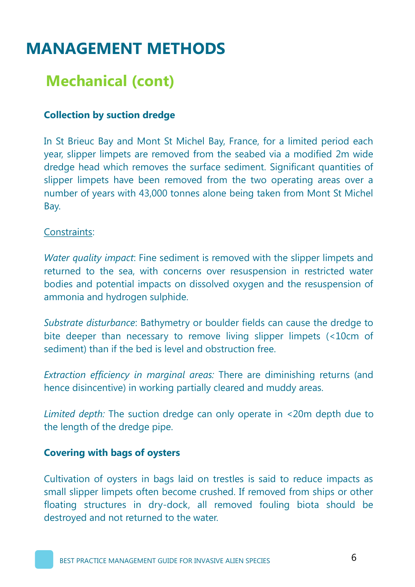### **Mechanical (cont)**

#### **Collection by suction dredge**

In St Brieuc Bay and Mont St Michel Bay, France, for a limited period each year, slipper limpets are removed from the seabed via a modified 2m wide dredge head which removes the surface sediment. Significant quantities of slipper limpets have been removed from the two operating areas over a number of years with 43,000 tonnes alone being taken from Mont St Michel Bay.

#### Constraints:

*Water quality impact*: Fine sediment is removed with the slipper limpets and returned to the sea, with concerns over resuspension in restricted water bodies and potential impacts on dissolved oxygen and the resuspension of ammonia and hydrogen sulphide.

*Substrate disturbance*: Bathymetry or boulder fields can cause the dredge to bite deeper than necessary to remove living slipper limpets (<10cm of sediment) than if the bed is level and obstruction free.

*Extraction efficiency in marginal areas:* There are diminishing returns (and hence disincentive) in working partially cleared and muddy areas.

*Limited depth:* The suction dredge can only operate in <20m depth due to the length of the dredge pipe.

#### **Covering with bags of oysters**

Cultivation of oysters in bags laid on trestles is said to reduce impacts as small slipper limpets often become crushed. If removed from ships or other floating structures in dry-dock, all removed fouling biota should be destroyed and not returned to the water.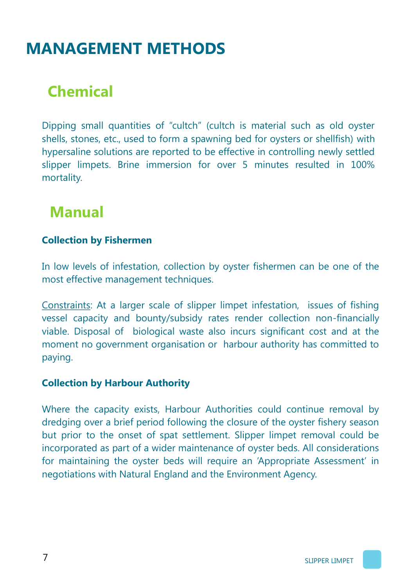# **Chemical**

Dipping small quantities of "cultch" (cultch is material such as old oyster shells, stones, etc., used to form a spawning bed for oysters or shellfish) with hypersaline solutions are reported to be effective in controlling newly settled slipper limpets. Brine immersion for over 5 minutes resulted in 100% mortality.

### **Manual**

#### **Collection by Fishermen**

In low levels of infestation, collection by oyster fishermen can be one of the most effective management techniques.

Constraints: At a larger scale of slipper limpet infestation, issues of fishing vessel capacity and bounty/subsidy rates render collection non-financially viable. Disposal of biological waste also incurs significant cost and at the moment no government organisation or harbour authority has committed to paying.

#### **Collection by Harbour Authority**

Where the capacity exists, Harbour Authorities could continue removal by dredging over a brief period following the closure of the oyster fishery season but prior to the onset of spat settlement. Slipper limpet removal could be incorporated as part of a wider maintenance of oyster beds. All considerations for maintaining the oyster beds will require an 'Appropriate Assessment' in negotiations with Natural England and the Environment Agency.

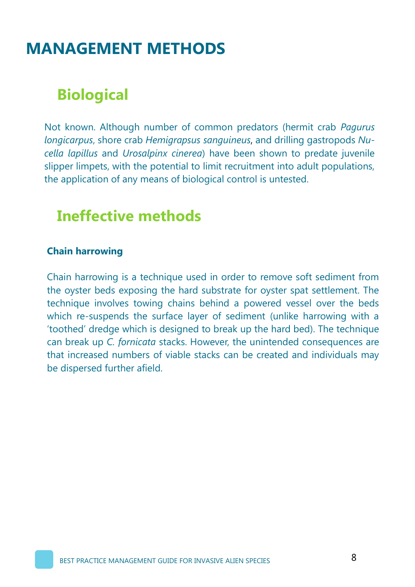# **Biological**

Not known. Although number of common predators (hermit crab *Pagurus longicarpus*, shore crab *Hemigrapsus sanguineus*, and drilling gastropods *Nucella lapillus* and *Urosalpinx cinerea*) have been shown to predate juvenile slipper limpets, with the potential to limit recruitment into adult populations, the application of any means of biological control is untested.

### **Ineffective methods**

#### **Chain harrowing**

Chain harrowing is a technique used in order to remove soft sediment from the oyster beds exposing the hard substrate for oyster spat settlement. The technique involves towing chains behind a powered vessel over the beds which re-suspends the surface layer of sediment (unlike harrowing with a 'toothed' dredge which is designed to break up the hard bed). The technique can break up *C. fornicata* stacks. However, the unintended consequences are that increased numbers of viable stacks can be created and individuals may be dispersed further afield.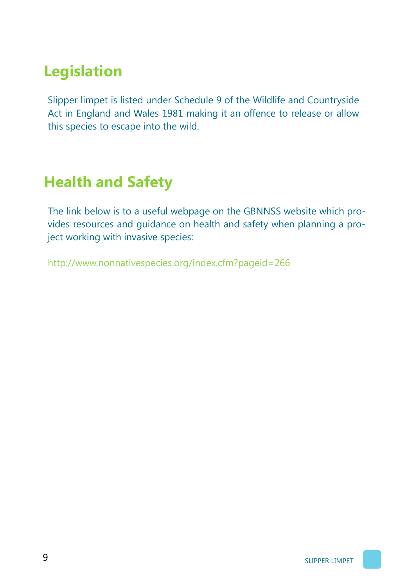# **Legislation**

Slipper limpet is listed under Schedule 9 of the Wildlife and Countryside Act in England and Wales 1981 making it an offence to release or allow this species to escape into the wild.

# **Health and Safety**

The link below is to a useful webpage on the GBNNSS website which provides resources and guidance on health and safety when planning a project working with invasive species:

http://www.nonnativespecies.org/index.cfm?pageid=266

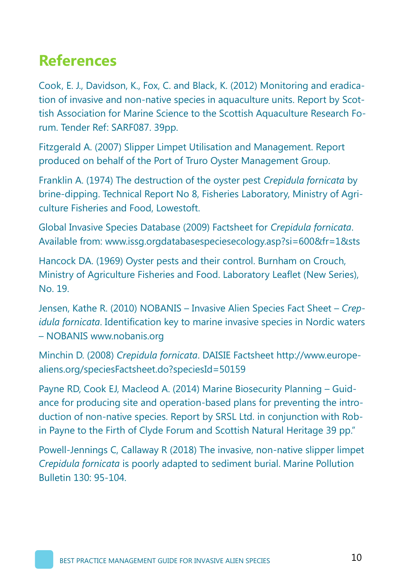# **References**

Cook, E. J., Davidson, K., Fox, C. and Black, K. (2012) Monitoring and eradication of invasive and non-native species in aquaculture units. Report by Scottish Association for Marine Science to the Scottish Aquaculture Research Forum. Tender Ref: SARF087. 39pp.

Fitzgerald A. (2007) Slipper Limpet Utilisation and Management. Report produced on behalf of the Port of Truro Oyster Management Group.

Franklin A. (1974) The destruction of the oyster pest *Crepidula fornicata* by brine-dipping. Technical Report No 8, Fisheries Laboratory, Ministry of Agriculture Fisheries and Food, Lowestoft.

Global Invasive Species Database (2009) Factsheet for *Crepidula fornicata*. Available from: www.issg.orgdatabasespeciesecology.asp?si=600&fr=1&sts

Hancock DA. (1969) Oyster pests and their control. Burnham on Crouch, Ministry of Agriculture Fisheries and Food. Laboratory Leaflet (New Series), No. 19.

Jensen, Kathe R. (2010) NOBANIS – Invasive Alien Species Fact Sheet – *Crepidula fornicata*. Identification key to marine invasive species in Nordic waters – NOBANIS www.nobanis.org

Minchin D. (2008) *Crepidula fornicata*. DAISIE Factsheet http://www.europealiens.org/speciesFactsheet.do?speciesId=50159

Payne RD, Cook EJ, Macleod A. (2014) Marine Biosecurity Planning – Guidance for producing site and operation-based plans for preventing the introduction of non-native species. Report by SRSL Ltd. in conjunction with Robin Payne to the Firth of Clyde Forum and Scottish Natural Heritage 39 pp."

Powell-Jennings C, Callaway R (2018) The invasive, non-native slipper limpet *Crepidula fornicata* is poorly adapted to sediment burial. Marine Pollution Bulletin 130: 95-104.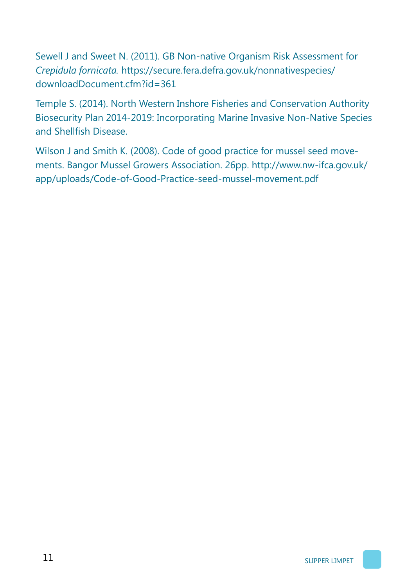Sewell J and Sweet N. (2011). GB Non-native Organism Risk Assessment for *Crepidula fornicata.* https://secure.fera.defra.gov.uk/nonnativespecies/ downloadDocument.cfm?id=361

Temple S. (2014). North Western Inshore Fisheries and Conservation Authority Biosecurity Plan 2014-2019: Incorporating Marine Invasive Non-Native Species and Shellfish Disease.

Wilson J and Smith K. (2008). Code of good practice for mussel seed movements. Bangor Mussel Growers Association. 26pp. http://www.nw-ifca.gov.uk/ app/uploads/Code-of-Good-Practice-seed-mussel-movement.pdf